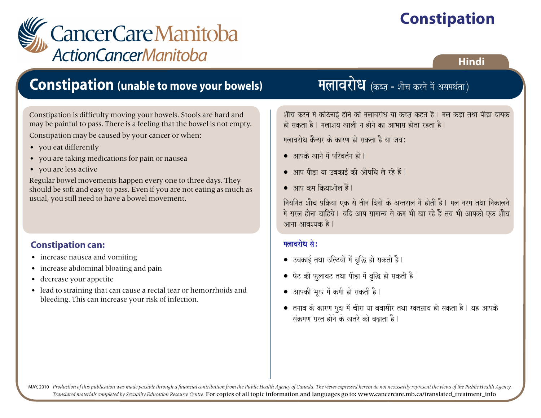# **Constipation**



### **Hindi**

### **Constipation (unable to move your bowels)**

Constipation is difficulty moving your bowels. Stools are hard and may be painful to pass. There is a feeling that the bowel is not empty.

Constipation may be caused by your cancer or when:

- you eat differently
- you are taking medications for pain or nausea
- you are less active

Regular bowel movements happen every one to three days. They should be soft and easy to pass. Even if you are not eating as much as usual, you still need to have a bowel movement.

#### **Constipation can:**

- increase nausea and vomiting
- increase abdominal bloating and pain
- decrease your appetite
- lead to straining that can cause a rectal tear or hemorrhoids and bleeding. This can increase your risk of infection.

### मलावरोध (कब्ज़ - शौच करने में असमर्थता)

शौच करने में कठिनाई होने को मलावरोध या कब्ज़ कहते हैं | मल कड़ा तथा पीड़ा दायक हो सकता है। मलाशय खाली न होने का आभास होता रहता है।

मलावरोध कैन्सर के कारण हो सकता है या जब:

- आपके खाने में परिवर्तन हो।
- $\bullet$  आप पीडा या उबकाई की औषधि ले रहे हैं।
- $\bullet$   $\overline{3}$   $\overline{3}$  and  $\overline{4}$  and  $\overline{2}$  and  $\overline{2}$  and  $\overline{2}$  and  $\overline{2}$  and  $\overline{2}$  and  $\overline{2}$  and  $\overline{2}$  and  $\overline{2}$  and  $\overline{2}$  and  $\overline{2}$  and  $\overline{2}$  and  $\overline{2}$  and  $\overline{2}$  and  $\overline{2}$  and

नियमित शौच प्रक्रिया एक से तीन दिनों के अन्तराल में होती है। मल नरम तथा निकालने मे सरल होना चाहिये। यदि आप सामान्य से कम भी खा रहे हैं तब भी आपको एक शौच आना आवश्यक है।

#### मलावरोध $\hat{\mathbf{a}}$ :

- $\bullet$  उबकाई तथा उल्टियों में वृद्धि हो सकती है।
- $\bullet$  पेट की फुलावट तथा पीड़ा में वृद्धि हो सकती है।
- आपकी भूख में कमी हो सकती है।
- $\bullet$  तनाव के कारण गुदा में चीरा या बवासीर तथा रक्तसाव हो सकता है। यह आपके संक्रमण ग्रस्त होने के खतरे को बढाता है।

MAY, 2010 Production of this publication was made possible through a financial contribution from the Public Health Agency of Canada. The views expressed herein do not necessarily represent the views of the Public Health Ag *Translated materials completed by Sexuality Education Resource Centre.* For copies of all topic information and languages go to: www.cancercare.mb.ca/translated\_treatment\_info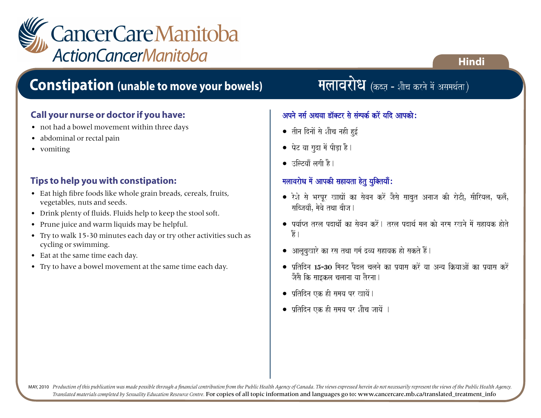

### **Constipation (unable to move your bowels)**

#### **Call your nurse or doctor if you have:**

- not had a bowel movement within three days
- abdominal or rectal pain
- vomiting

#### **Tips to help you with constipation:**

- Eat high fibre foods like whole grain breads, cereals, fruits, vegetables, nuts and seeds.
- Drink plenty of fluids. Fluids help to keep the stool soft.
- Prune juice and warm liquids may be helpful.
- Try to walk 15-30 minutes each day or try other activities such as cycling or swimming.
- Eat at the same time each day.
- Try to have a bowel movement at the same time each day.

### मलावरोध (कब्ज़ - शौच करने में असमर्थता)

**Hindi**

#### अपने नर्स अथवा डॉक्टर से संम्पर्क करें यदि आपको:

- तीन दिनों से शौच नही हुई
- पेट या गुदा में पीड़ा है।
- $\bullet$  उल्लिट्याँ लगी है ।

#### $m$ मलावरोध में आपकी सहायता हेतु युक्तियाँ:

- रेशे से भरपूर खाद्यों का सेवन करें जैसे साबुत अनाज की रोटी, सीरियल, फलँ, सब्जियाँ, मेवे तथा बीज।
- $\bullet$  पर्याप्त तरल पदार्थो का सेवन करें। तरल पदार्थ मल को नरम रखने में सहायक होते हैं |
- $\bullet$  आलूबुखारे का रस तथा गर्म द्रव्य सहायक हो सकते हैं।
- प्रतिदिन 15-30 मिनट पैदल चलने का प्रयास करें या अन्य क्रियाओं का प्रयास करें जैसे कि साइकल चलाना या तैरना।
- प्रतिदिन एक ही समय पर खायें।
- प्रतिदिन एक ही समय पर शौच जायें ।

MAY, 2010 Production of this publication was made possible through a financial contribution from the Public Health Agency of Canada. The views expressed herein do not necessarily represent the views of the Public Health Ag *Translated materials completed by Sexuality Education Resource Centre.* For copies of all topic information and languages go to: www.cancercare.mb.ca/translated\_treatment\_info